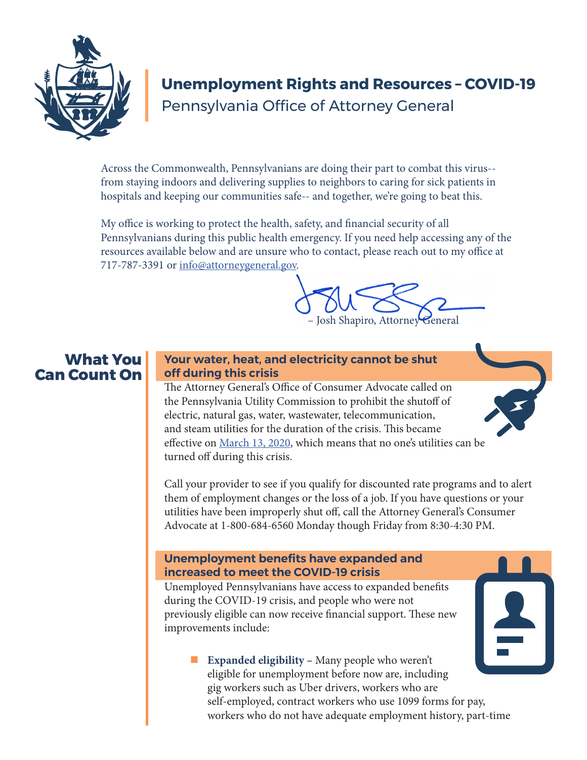

# **Unemployment Rights and Resources – COVID-19** Pennsylvania Office of Attorney General

Across the Commonwealth, Pennsylvanians are doing their part to combat this virus- from staying indoors and delivering supplies to neighbors to caring for sick patients in hospitals and keeping our communities safe-- and together, we're going to beat this.

My office is working to protect the health, safety, and financial security of all Pennsylvanians during this public health emergency. If you need help accessing any of the resources available below and are unsure who to contact, please reach out to my office at 717-787-3391 or info@attorneygeneral.gov.



# **What You Can Count On**

### **Your water, heat, and electricity cannot be shut off during this crisis**

The Attorney General's Office of Consumer Advocate called on the Pennsylvania Utility Commission to prohibit the shutoff of electric, natural gas, water, wastewater, telecommunication, and steam utilities for the duration of the crisis. This became effective on March 13, 2020, which means that no one's utilities can be turned off during this crisis.

Call your provider to see if you qualify for discounted rate programs and to alert them of employment changes or the loss of a job. If you have questions or your utilities have been improperly shut off, call the Attorney General's Consumer Advocate at 1-800-684-6560 Monday though Friday from 8:30-4:30 PM.

#### **Unemployment benefits have expanded and increased to meet the COVID-19 crisis**

Unemployed Pennsylvanians have access to expanded benefits during the COVID-19 crisis, and people who were not previously eligible can now receive financial support. These new improvements include:

**Expanded eligibility –** Many people who weren't eligible for unemployment before now are, including gig workers such as Uber drivers, workers who are self-employed, contract workers who use 1099 forms for pay, workers who do not have adequate employment history, part-time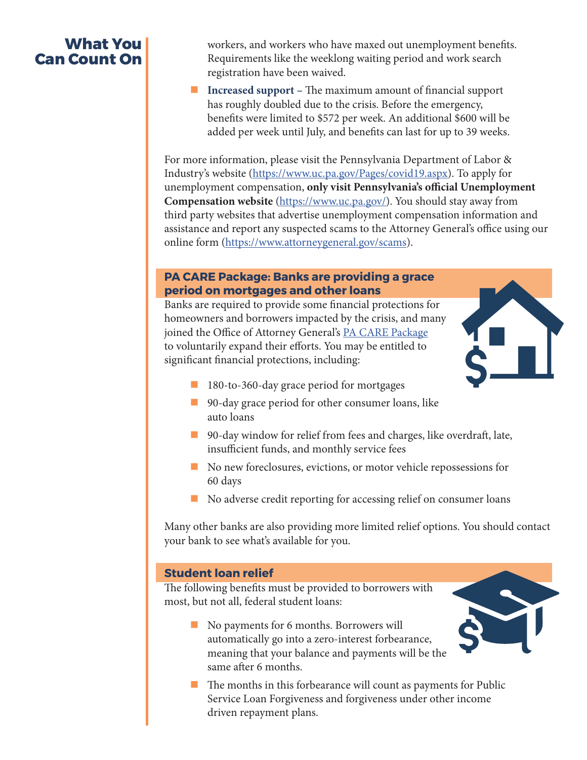# **What You Can Count On**

workers, and workers who have maxed out unemployment benefits. Requirements like the weeklong waiting period and work search registration have been waived.

**Increased support – The maximum amount of financial support** has roughly doubled due to the crisis. Before the emergency, benefits were limited to \$572 per week. An additional \$600 will be added per week until July, and benefits can last for up to 39 weeks.

For more information, please visit the Pennsylvania Department of Labor & Industry's website (https://www.uc.pa.gov/Pages/covid19.aspx). To apply for unemployment compensation, **only visit Pennsylvania's official Unemployment Compensation website** (https://www.uc.pa.gov/). You should stay away from third party websites that advertise unemployment compensation information and assistance and report any suspected scams to the Attorney General's office using our online form (https://www.attorneygeneral.gov/scams).

#### **PA CARE Package: Banks are providing a grace period on mortgages and other loans**

Banks are required to provide some financial protections for homeowners and borrowers impacted by the crisis, and many joined the Office of Attorney General's PA CARE Package to voluntarily expand their efforts. You may be entitled to significant financial protections, including:



- 180-to-360-day grace period for mortgages
- 90-day grace period for other consumer loans, like auto loans
- 90-day window for relief from fees and charges, like overdraft, late, insufficient funds, and monthly service fees
- No new foreclosures, evictions, or motor vehicle repossessions for 60 days
- No adverse credit reporting for accessing relief on consumer loans

Many other banks are also providing more limited relief options. You should contact your bank to see what's available for you.

### **Student loan relief**

The following benefits must be provided to borrowers with most, but not all, federal student loans:

- No payments for 6 months. Borrowers will automatically go into a zero-interest forbearance, meaning that your balance and payments will be the same after 6 months.
- $\blacksquare$  The months in this forbearance will count as payments for Public Service Loan Forgiveness and forgiveness under other income driven repayment plans.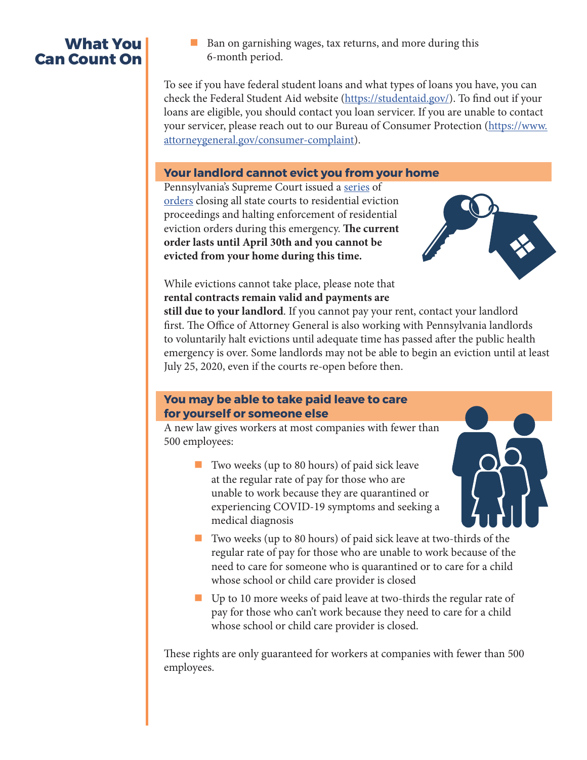# **What You Can Count On**

■ Ban on garnishing wages, tax returns, and more during this 6-month period.

To see if you have federal student loans and what types of loans you have, you can check the Federal Student Aid website (https://studentaid.gov/). To find out if your loans are eligible, you should contact you loan servicer. If you are unable to contact your servicer, please reach out to our Bureau of Consumer Protection (https://www. attorneygeneral.gov/consumer-complaint).

#### **Your landlord cannot evict you from your home**

Pennsylvania's Supreme Court issued a series of orders closing all state courts to residential eviction proceedings and halting enforcement of residential eviction orders during this emergency. **The current order lasts until April 30th and you cannot be evicted from your home during this time.** 



While evictions cannot take place, please note that **rental contracts remain valid and payments are** 

**still due to your landlord**. If you cannot pay your rent, contact your landlord first. The Office of Attorney General is also working with Pennsylvania landlords to voluntarily halt evictions until adequate time has passed after the public health emergency is over. Some landlords may not be able to begin an eviction until at least July 25, 2020, even if the courts re-open before then.

#### **You may be able to take paid leave to care for yourself or someone else**

A new law gives workers at most companies with fewer than 500 employees:

- Two weeks (up to 80 hours) of paid sick leave at the regular rate of pay for those who are unable to work because they are quarantined or experiencing COVID-19 symptoms and seeking a medical diagnosis
- Two weeks (up to 80 hours) of paid sick leave at two-thirds of the regular rate of pay for those who are unable to work because of the need to care for someone who is quarantined or to care for a child whose school or child care provider is closed
- Up to 10 more weeks of paid leave at two-thirds the regular rate of pay for those who can't work because they need to care for a child whose school or child care provider is closed.

These rights are only guaranteed for workers at companies with fewer than 500 employees.